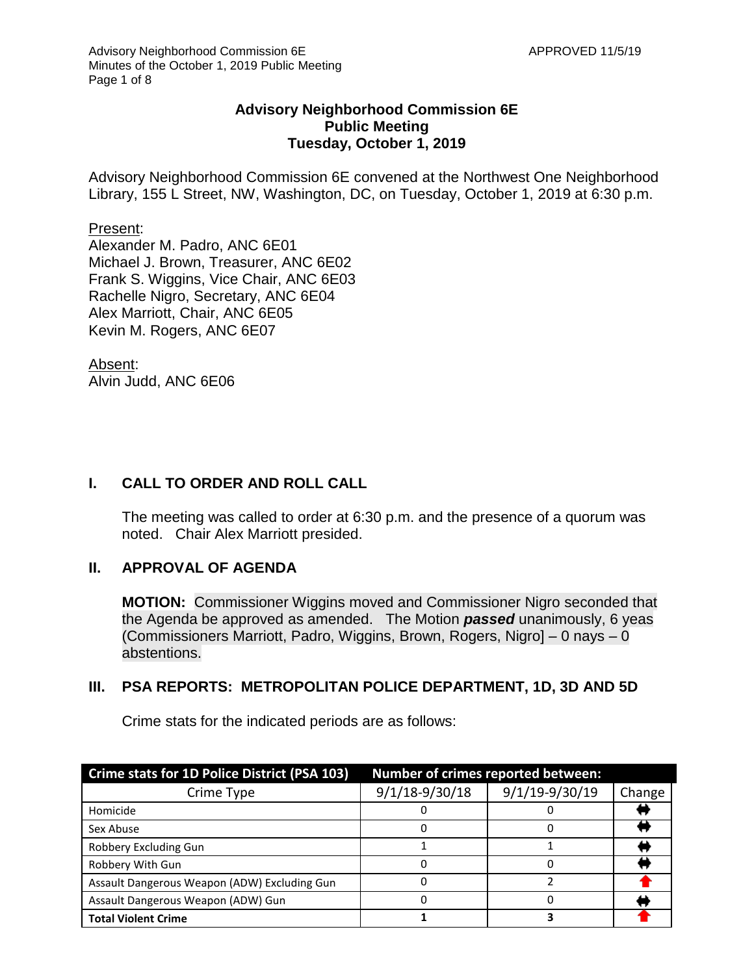#### **Advisory Neighborhood Commission 6E Public Meeting Tuesday, October 1, 2019**

Advisory Neighborhood Commission 6E convened at the Northwest One Neighborhood Library, 155 L Street, NW, Washington, DC, on Tuesday, October 1, 2019 at 6:30 p.m.

#### Present:

Alexander M. Padro, ANC 6E01 Michael J. Brown, Treasurer, ANC 6E02 Frank S. Wiggins, Vice Chair, ANC 6E03 Rachelle Nigro, Secretary, ANC 6E04 Alex Marriott, Chair, ANC 6E05 Kevin M. Rogers, ANC 6E07

Absent: Alvin Judd, ANC 6E06

### **I. CALL TO ORDER AND ROLL CALL**

The meeting was called to order at 6:30 p.m. and the presence of a quorum was noted. Chair Alex Marriott presided.

#### **II. APPROVAL OF AGENDA**

**MOTION:** Commissioner Wiggins moved and Commissioner Nigro seconded that the Agenda be approved as amended. The Motion *passed* unanimously, 6 yeas (Commissioners Marriott, Padro, Wiggins, Brown, Rogers, Nigro] – 0 nays – 0 abstentions.

#### **III. PSA REPORTS: METROPOLITAN POLICE DEPARTMENT, 1D, 3D AND 5D**

Crime stats for the indicated periods are as follows:

| Crime stats for 1D Police District (PSA 103) | Number of crimes reported between: |                |        |
|----------------------------------------------|------------------------------------|----------------|--------|
| Crime Type                                   | $9/1/18 - 9/30/18$                 | 9/1/19-9/30/19 | Change |
| Homicide                                     |                                    |                |        |
| Sex Abuse                                    |                                    |                |        |
| Robbery Excluding Gun                        |                                    |                |        |
| Robbery With Gun                             |                                    |                |        |
| Assault Dangerous Weapon (ADW) Excluding Gun |                                    |                |        |
| Assault Dangerous Weapon (ADW) Gun           |                                    |                |        |
| <b>Total Violent Crime</b>                   |                                    |                |        |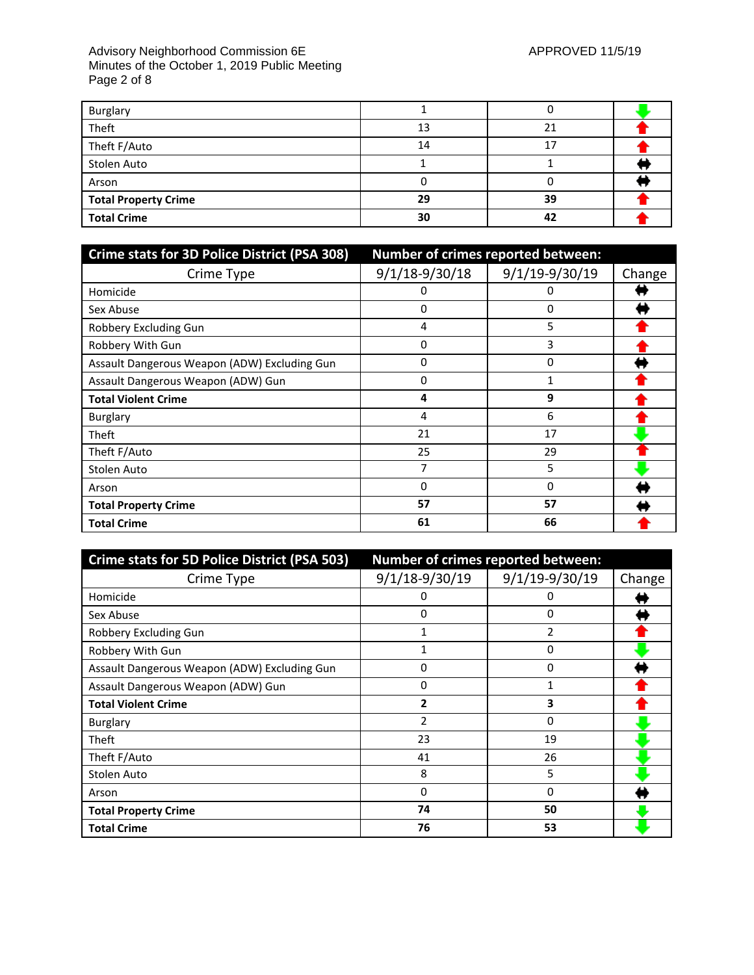#### Advisory Neighborhood Commission 6E APPROVED 11/5/19 Minutes of the October 1, 2019 Public Meeting Page 2 of 8

| Burglary                    |    |    |  |
|-----------------------------|----|----|--|
| Theft                       | 13 |    |  |
| Theft F/Auto                | 14 | 17 |  |
| Stolen Auto                 |    |    |  |
| Arson                       |    |    |  |
| <b>Total Property Crime</b> | 29 | 39 |  |
| <b>Total Crime</b>          | 30 | 42 |  |

| <b>Crime stats for 3D Police District (PSA 308)</b> | Number of crimes reported between: |                |        |
|-----------------------------------------------------|------------------------------------|----------------|--------|
| Crime Type                                          | $9/1/18 - 9/30/18$                 | 9/1/19-9/30/19 | Change |
| Homicide                                            |                                    |                |        |
| Sex Abuse                                           | 0                                  | 0              |        |
| Robbery Excluding Gun                               | 4                                  | 5              |        |
| Robbery With Gun                                    | 0                                  | 3              |        |
| Assault Dangerous Weapon (ADW) Excluding Gun        | 0                                  | 0              |        |
| Assault Dangerous Weapon (ADW) Gun                  | 0                                  |                |        |
| <b>Total Violent Crime</b>                          | 4                                  | 9              |        |
| <b>Burglary</b>                                     | 4                                  | 6              |        |
| Theft                                               | 21                                 | 17             |        |
| Theft F/Auto                                        | 25                                 | 29             |        |
| Stolen Auto                                         |                                    | 5              |        |
| Arson                                               | 0                                  | 0              |        |
| <b>Total Property Crime</b>                         | 57                                 | 57             |        |
| <b>Total Crime</b>                                  | 61                                 | 66             |        |

| Crime stats for 5D Police District (PSA 503) | Number of crimes reported between: |                |        |
|----------------------------------------------|------------------------------------|----------------|--------|
| Crime Type                                   | $9/1/18-9/30/19$                   | 9/1/19-9/30/19 | Change |
| Homicide                                     | O                                  | 0              |        |
| Sex Abuse                                    | 0                                  | 0              |        |
| Robbery Excluding Gun                        | 1                                  | 2              |        |
| Robbery With Gun                             |                                    | 0              |        |
| Assault Dangerous Weapon (ADW) Excluding Gun | 0                                  | 0              |        |
| Assault Dangerous Weapon (ADW) Gun           | 0                                  |                |        |
| <b>Total Violent Crime</b>                   | 2                                  | 3              |        |
| <b>Burglary</b>                              | $\overline{2}$                     | 0              |        |
| Theft                                        | 23                                 | 19             |        |
| Theft F/Auto                                 | 41                                 | 26             |        |
| Stolen Auto                                  | 8                                  | 5              |        |
| Arson                                        | 0                                  | 0              |        |
| <b>Total Property Crime</b>                  | 74                                 | 50             |        |
| <b>Total Crime</b>                           | 76                                 | 53             |        |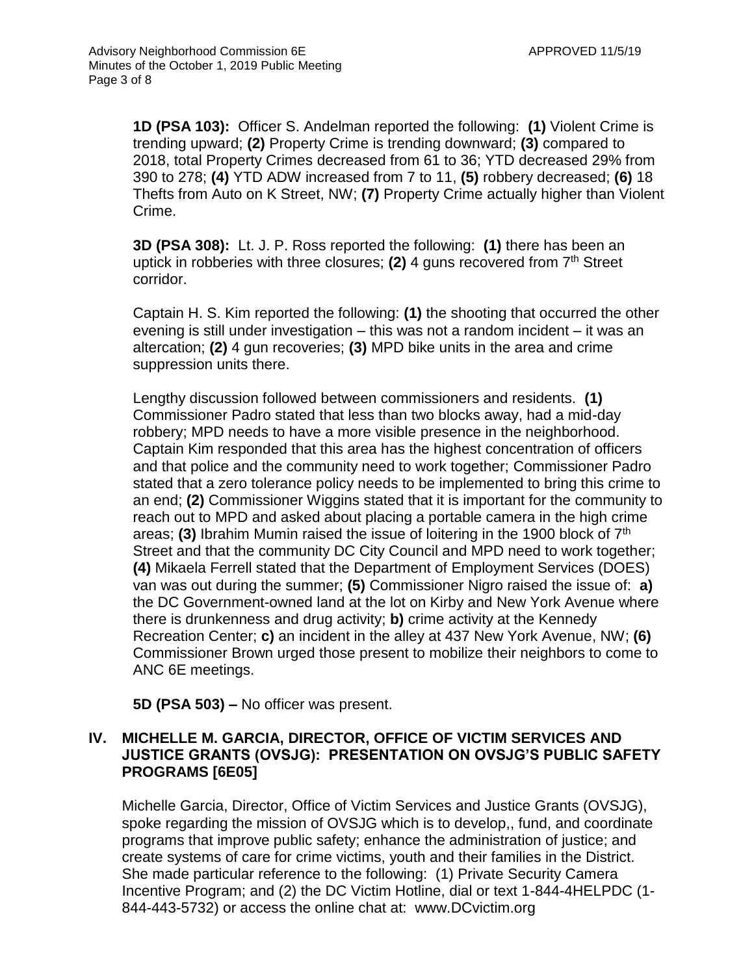**1D (PSA 103):** Officer S. Andelman reported the following: **(1)** Violent Crime is trending upward; **(2)** Property Crime is trending downward; **(3)** compared to 2018, total Property Crimes decreased from 61 to 36; YTD decreased 29% from 390 to 278; **(4)** YTD ADW increased from 7 to 11, **(5)** robbery decreased; **(6)** 18 Thefts from Auto on K Street, NW; **(7)** Property Crime actually higher than Violent Crime.

**3D (PSA 308):** Lt. J. P. Ross reported the following: **(1)** there has been an uptick in robberies with three closures; **(2)** 4 guns recovered from 7th Street corridor.

Captain H. S. Kim reported the following: **(1)** the shooting that occurred the other evening is still under investigation – this was not a random incident – it was an altercation; **(2)** 4 gun recoveries; **(3)** MPD bike units in the area and crime suppression units there.

Lengthy discussion followed between commissioners and residents. **(1)** Commissioner Padro stated that less than two blocks away, had a mid-day robbery; MPD needs to have a more visible presence in the neighborhood. Captain Kim responded that this area has the highest concentration of officers and that police and the community need to work together; Commissioner Padro stated that a zero tolerance policy needs to be implemented to bring this crime to an end; **(2)** Commissioner Wiggins stated that it is important for the community to reach out to MPD and asked about placing a portable camera in the high crime areas; **(3)** Ibrahim Mumin raised the issue of loitering in the 1900 block of 7th Street and that the community DC City Council and MPD need to work together; **(4)** Mikaela Ferrell stated that the Department of Employment Services (DOES) van was out during the summer; **(5)** Commissioner Nigro raised the issue of: **a)** the DC Government-owned land at the lot on Kirby and New York Avenue where there is drunkenness and drug activity; **b)** crime activity at the Kennedy Recreation Center; **c)** an incident in the alley at 437 New York Avenue, NW; **(6)** Commissioner Brown urged those present to mobilize their neighbors to come to ANC 6E meetings.

**5D (PSA 503) –** No officer was present.

### **IV. MICHELLE M. GARCIA, DIRECTOR, OFFICE OF VICTIM SERVICES AND JUSTICE GRANTS (OVSJG): PRESENTATION ON OVSJG'S PUBLIC SAFETY PROGRAMS [6E05]**

Michelle Garcia, Director, Office of Victim Services and Justice Grants (OVSJG), spoke regarding the mission of OVSJG which is to develop,, fund, and coordinate programs that improve public safety; enhance the administration of justice; and create systems of care for crime victims, youth and their families in the District. She made particular reference to the following: (1) Private Security Camera Incentive Program; and (2) the DC Victim Hotline, dial or text 1-844-4HELPDC (1- 844-443-5732) or access the online chat at: www.DCvictim.org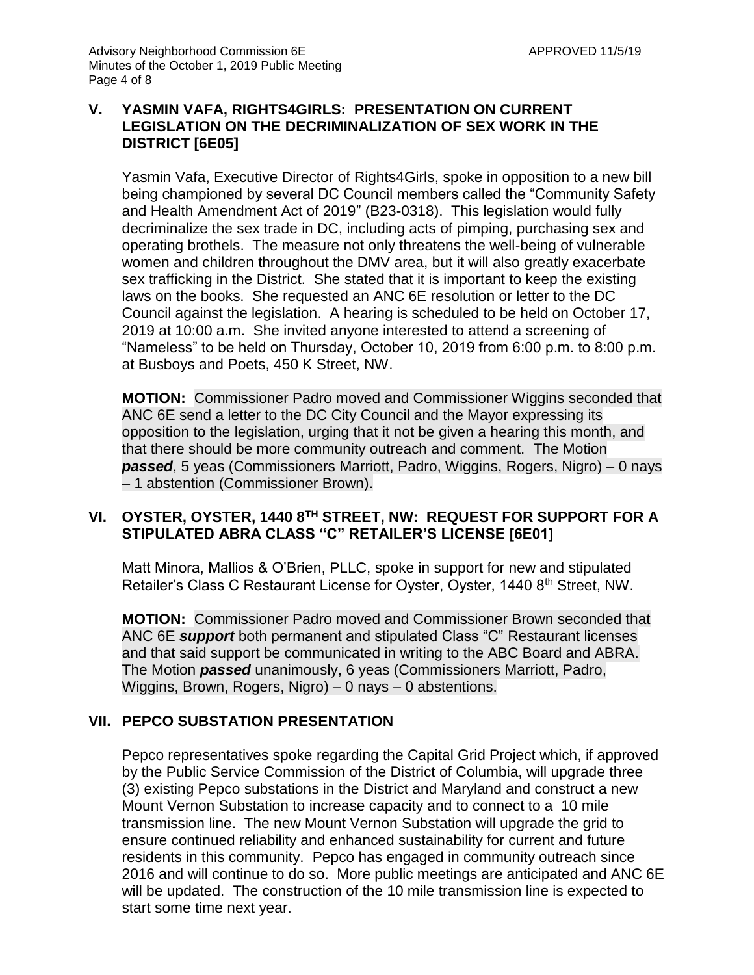### **V. YASMIN VAFA, RIGHTS4GIRLS: PRESENTATION ON CURRENT LEGISLATION ON THE DECRIMINALIZATION OF SEX WORK IN THE DISTRICT [6E05]**

Yasmin Vafa, Executive Director of Rights4Girls, spoke in opposition to a new bill being championed by several DC Council members called the "Community Safety and Health Amendment Act of 2019" (B23-0318). This legislation would fully decriminalize the sex trade in DC, including acts of pimping, purchasing sex and operating brothels. The measure not only threatens the well-being of vulnerable women and children throughout the DMV area, but it will also greatly exacerbate sex trafficking in the District. She stated that it is important to keep the existing laws on the books. She requested an ANC 6E resolution or letter to the DC Council against the legislation. A hearing is scheduled to be held on October 17, 2019 at 10:00 a.m. She invited anyone interested to attend a screening of "Nameless" to be held on Thursday, October 10, 2019 from 6:00 p.m. to 8:00 p.m. at Busboys and Poets, 450 K Street, NW.

**MOTION:** Commissioner Padro moved and Commissioner Wiggins seconded that ANC 6E send a letter to the DC City Council and the Mayor expressing its opposition to the legislation, urging that it not be given a hearing this month, and that there should be more community outreach and comment. The Motion *passed*, 5 yeas (Commissioners Marriott, Padro, Wiggins, Rogers, Nigro) – 0 nays – 1 abstention (Commissioner Brown).

# **VI. OYSTER, OYSTER, 1440 8TH STREET, NW: REQUEST FOR SUPPORT FOR A STIPULATED ABRA CLASS "C" RETAILER'S LICENSE [6E01]**

Matt Minora, Mallios & O'Brien, PLLC, spoke in support for new and stipulated Retailer's Class C Restaurant License for Oyster, Oyster, 1440 8<sup>th</sup> Street, NW.

**MOTION:** Commissioner Padro moved and Commissioner Brown seconded that ANC 6E *support* both permanent and stipulated Class "C" Restaurant licenses and that said support be communicated in writing to the ABC Board and ABRA. The Motion *passed* unanimously, 6 yeas (Commissioners Marriott, Padro, Wiggins, Brown, Rogers, Nigro) – 0 nays – 0 abstentions.

# **VII. PEPCO SUBSTATION PRESENTATION**

Pepco representatives spoke regarding the Capital Grid Project which, if approved by the Public Service Commission of the District of Columbia, will upgrade three (3) existing Pepco substations in the District and Maryland and construct a new Mount Vernon Substation to increase capacity and to connect to a 10 mile transmission line. The new Mount Vernon Substation will upgrade the grid to ensure continued reliability and enhanced sustainability for current and future residents in this community. Pepco has engaged in community outreach since 2016 and will continue to do so. More public meetings are anticipated and ANC 6E will be updated. The construction of the 10 mile transmission line is expected to start some time next year.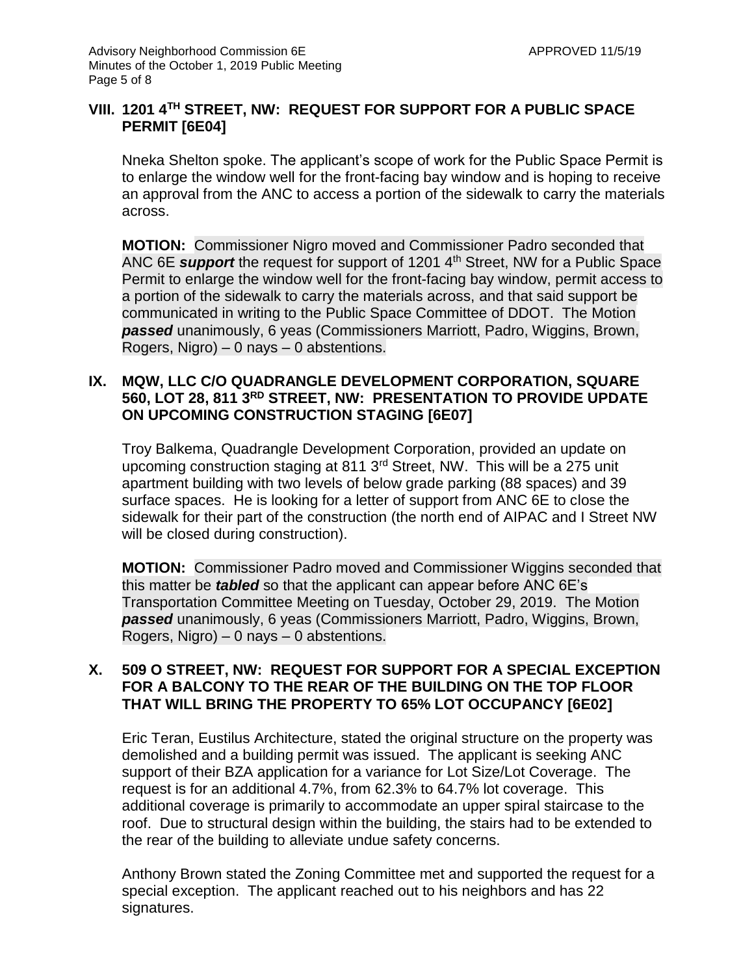### **VIII. 1201 4TH STREET, NW: REQUEST FOR SUPPORT FOR A PUBLIC SPACE PERMIT [6E04]**

Nneka Shelton spoke. The applicant's scope of work for the Public Space Permit is to enlarge the window well for the front-facing bay window and is hoping to receive an approval from the ANC to access a portion of the sidewalk to carry the materials across.

**MOTION:** Commissioner Nigro moved and Commissioner Padro seconded that ANC 6E *support* the request for support of 1201 4<sup>th</sup> Street, NW for a Public Space Permit to enlarge the window well for the front-facing bay window, permit access to a portion of the sidewalk to carry the materials across, and that said support be communicated in writing to the Public Space Committee of DDOT. The Motion *passed* unanimously, 6 yeas (Commissioners Marriott, Padro, Wiggins, Brown, Rogers, Nigro)  $-0$  nays  $-0$  abstentions.

#### **IX. MQW, LLC C/O QUADRANGLE DEVELOPMENT CORPORATION, SQUARE 560, LOT 28, 811 3RD STREET, NW: PRESENTATION TO PROVIDE UPDATE ON UPCOMING CONSTRUCTION STAGING [6E07]**

Troy Balkema, Quadrangle Development Corporation, provided an update on upcoming construction staging at 811 3rd Street, NW. This will be a 275 unit apartment building with two levels of below grade parking (88 spaces) and 39 surface spaces. He is looking for a letter of support from ANC 6E to close the sidewalk for their part of the construction (the north end of AIPAC and I Street NW will be closed during construction).

**MOTION:** Commissioner Padro moved and Commissioner Wiggins seconded that this matter be *tabled* so that the applicant can appear before ANC 6E's Transportation Committee Meeting on Tuesday, October 29, 2019. The Motion *passed* unanimously, 6 yeas (Commissioners Marriott, Padro, Wiggins, Brown, Rogers, Nigro) – 0 nays – 0 abstentions.

#### **X. 509 O STREET, NW: REQUEST FOR SUPPORT FOR A SPECIAL EXCEPTION FOR A BALCONY TO THE REAR OF THE BUILDING ON THE TOP FLOOR THAT WILL BRING THE PROPERTY TO 65% LOT OCCUPANCY [6E02]**

Eric Teran, Eustilus Architecture, stated the original structure on the property was demolished and a building permit was issued. The applicant is seeking ANC support of their BZA application for a variance for Lot Size/Lot Coverage. The request is for an additional 4.7%, from 62.3% to 64.7% lot coverage. This additional coverage is primarily to accommodate an upper spiral staircase to the roof. Due to structural design within the building, the stairs had to be extended to the rear of the building to alleviate undue safety concerns.

Anthony Brown stated the Zoning Committee met and supported the request for a special exception. The applicant reached out to his neighbors and has 22 signatures.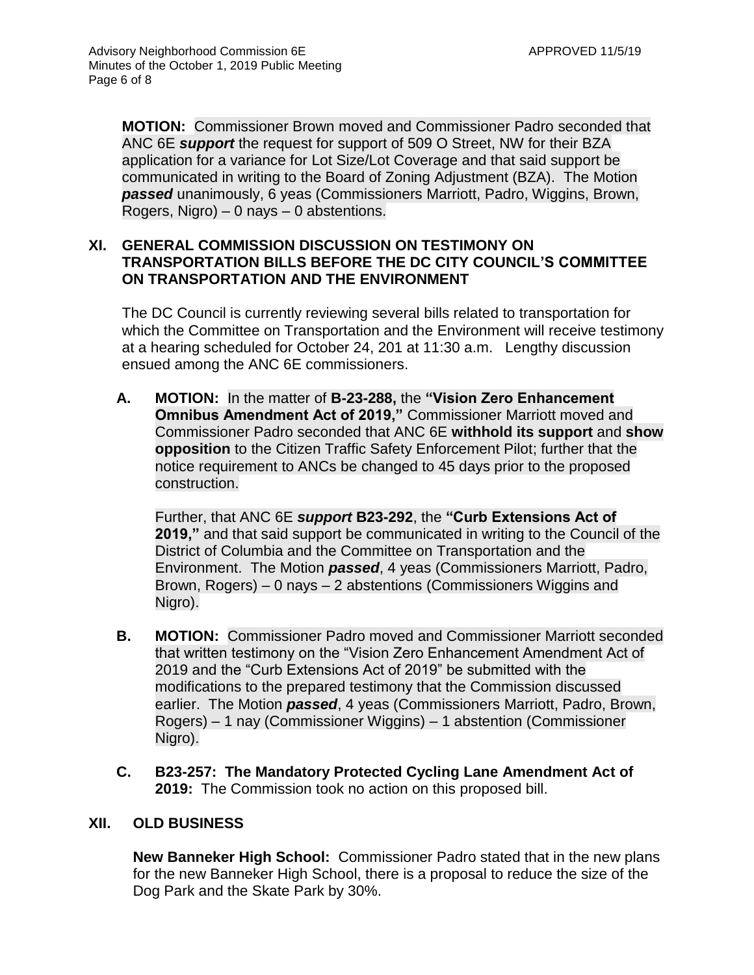**MOTION:** Commissioner Brown moved and Commissioner Padro seconded that ANC 6E *support* the request for support of 509 O Street, NW for their BZA application for a variance for Lot Size/Lot Coverage and that said support be communicated in writing to the Board of Zoning Adjustment (BZA). The Motion *passed* unanimously, 6 yeas (Commissioners Marriott, Padro, Wiggins, Brown, Rogers, Nigro)  $-0$  nays  $-0$  abstentions.

#### **XI. GENERAL COMMISSION DISCUSSION ON TESTIMONY ON TRANSPORTATION BILLS BEFORE THE DC CITY COUNCIL'S COMMITTEE ON TRANSPORTATION AND THE ENVIRONMENT**

The DC Council is currently reviewing several bills related to transportation for which the Committee on Transportation and the Environment will receive testimony at a hearing scheduled for October 24, 201 at 11:30 a.m. Lengthy discussion ensued among the ANC 6E commissioners.

**A. MOTION:** In the matter of **B-23-288,** the **"Vision Zero Enhancement Omnibus Amendment Act of 2019,"** Commissioner Marriott moved and Commissioner Padro seconded that ANC 6E **withhold its support** and **show opposition** to the Citizen Traffic Safety Enforcement Pilot; further that the notice requirement to ANCs be changed to 45 days prior to the proposed construction.

Further, that ANC 6E *support* **B23-292**, the **"Curb Extensions Act of 2019,"** and that said support be communicated in writing to the Council of the District of Columbia and the Committee on Transportation and the Environment. The Motion *passed*, 4 yeas (Commissioners Marriott, Padro, Brown, Rogers) – 0 nays – 2 abstentions (Commissioners Wiggins and Nigro).

- **B. MOTION:** Commissioner Padro moved and Commissioner Marriott seconded that written testimony on the "Vision Zero Enhancement Amendment Act of 2019 and the "Curb Extensions Act of 2019" be submitted with the modifications to the prepared testimony that the Commission discussed earlier. The Motion *passed*, 4 yeas (Commissioners Marriott, Padro, Brown, Rogers) – 1 nay (Commissioner Wiggins) – 1 abstention (Commissioner Nigro).
- **C. B23-257: The Mandatory Protected Cycling Lane Amendment Act of 2019:** The Commission took no action on this proposed bill.

## **XII. OLD BUSINESS**

**New Banneker High School:** Commissioner Padro stated that in the new plans for the new Banneker High School, there is a proposal to reduce the size of the Dog Park and the Skate Park by 30%.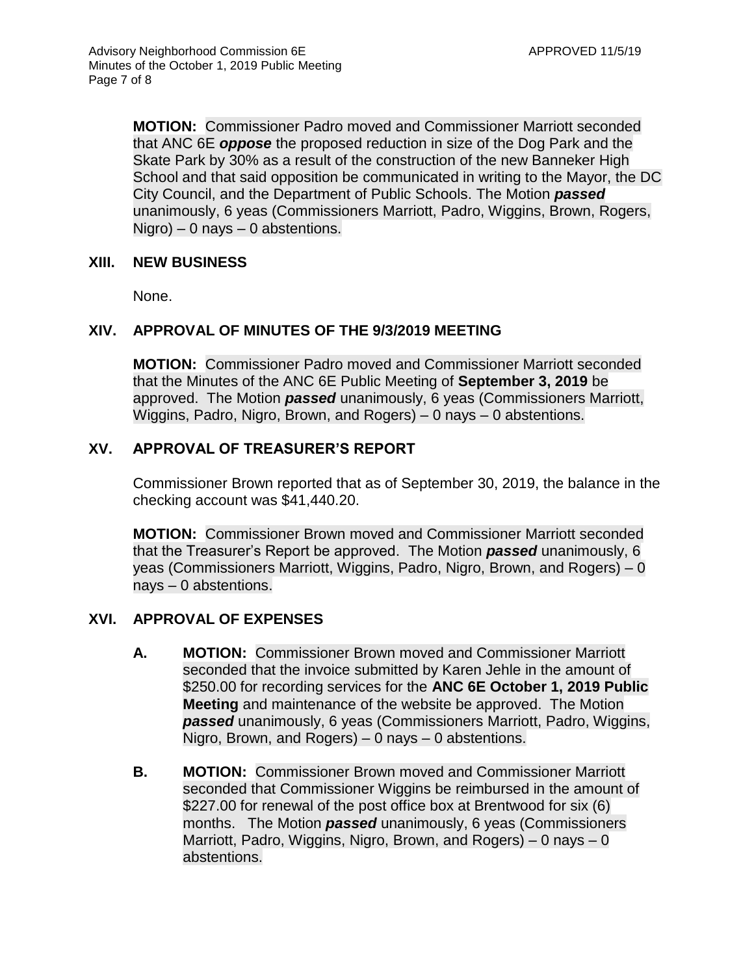**MOTION:** Commissioner Padro moved and Commissioner Marriott seconded that ANC 6E *oppose* the proposed reduction in size of the Dog Park and the Skate Park by 30% as a result of the construction of the new Banneker High School and that said opposition be communicated in writing to the Mayor, the DC City Council, and the Department of Public Schools. The Motion *passed* unanimously, 6 yeas (Commissioners Marriott, Padro, Wiggins, Brown, Rogers,  $Nigro$ ) – 0 nays – 0 abstentions.

#### **XIII. NEW BUSINESS**

None.

# **XIV. APPROVAL OF MINUTES OF THE 9/3/2019 MEETING**

**MOTION:** Commissioner Padro moved and Commissioner Marriott seconded that the Minutes of the ANC 6E Public Meeting of **September 3, 2019** be approved. The Motion *passed* unanimously, 6 yeas (Commissioners Marriott, Wiggins, Padro, Nigro, Brown, and Rogers) – 0 nays – 0 abstentions.

# **XV. APPROVAL OF TREASURER'S REPORT**

Commissioner Brown reported that as of September 30, 2019, the balance in the checking account was \$41,440.20.

**MOTION:** Commissioner Brown moved and Commissioner Marriott seconded that the Treasurer's Report be approved. The Motion *passed* unanimously, 6 yeas (Commissioners Marriott, Wiggins, Padro, Nigro, Brown, and Rogers) – 0 nays – 0 abstentions.

## **XVI. APPROVAL OF EXPENSES**

- **A. MOTION:** Commissioner Brown moved and Commissioner Marriott seconded that the invoice submitted by Karen Jehle in the amount of \$250.00 for recording services for the **ANC 6E October 1, 2019 Public Meeting** and maintenance of the website be approved. The Motion *passed* unanimously, 6 yeas (Commissioners Marriott, Padro, Wiggins, Nigro, Brown, and Rogers) – 0 nays – 0 abstentions.
- **B. MOTION:** Commissioner Brown moved and Commissioner Marriott seconded that Commissioner Wiggins be reimbursed in the amount of \$227.00 for renewal of the post office box at Brentwood for six (6) months. The Motion *passed* unanimously, 6 yeas (Commissioners Marriott, Padro, Wiggins, Nigro, Brown, and Rogers)  $-0$  nays  $-0$ abstentions.